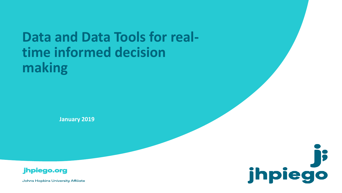## **Data and Data Tools for realtime informed decision making**

**January 2019**





**Johns Hopkins University Affiliate**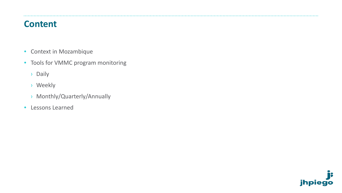#### **Content**

.......

- Context in Mozambique
- Tools for VMMC program monitoring
	- › Daily
	- › Weekly
	- › Monthly/Quarterly/Annually
- Lessons Learned

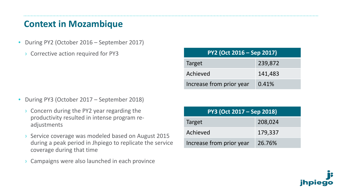#### **Context in Mozambique**

- During PY2 (October 2016 September 2017)
	- › Corrective action required for PY3

- During PY3 (October 2017 September 2018)
	- › Concern during the PY2 year regarding the productivity resulted in intense program readjustments
	- › Service coverage was modeled based on August 2015 during a peak period in Jhpiego to replicate the service coverage during that time
	- Campaigns were also launched in each province

| $PY2$ (Oct 2016 – Sep 2017) |         |  |  |  |  |  |  |  |  |
|-----------------------------|---------|--|--|--|--|--|--|--|--|
| Target                      | 239,872 |  |  |  |  |  |  |  |  |
| Achieved                    | 141,483 |  |  |  |  |  |  |  |  |
| Increase from prior year    | 0.41%   |  |  |  |  |  |  |  |  |

| PY3 (Oct 2017 – Sep 2018) |         |  |  |  |  |  |  |  |  |
|---------------------------|---------|--|--|--|--|--|--|--|--|
| Target                    | 208,024 |  |  |  |  |  |  |  |  |
| Achieved                  | 179,337 |  |  |  |  |  |  |  |  |
| Increase from prior year  | 26.76%  |  |  |  |  |  |  |  |  |

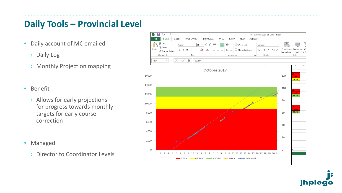### **Daily Tools – Provincial Level**

- Daily account of MC emailed
	- › Daily Log
	- › Monthly Projection mapping
- Benefit
	- › Allows for early projections for progress towards monthly targets for early course correction
- Managed
	- › Director to Coordinator Levels



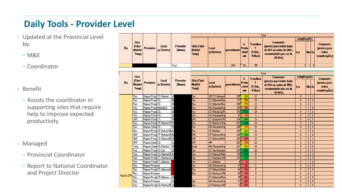## **Daily Tools - Provider Level**

- › Updated at the Provincial Level by:
	- $-M&E$

‒ Coordinator

- › Benefit
	- ‒ Assists the coordinator in supporting sites that require help to improve expected productivity
- › Managed
	- ‒ Provincial Coordinator
	- Report to National Coordinator and Project Director

|             |                                                   |                            |                                                                     |                    | Total                                          |                                 |                    |                             |                                                    |                                                                                                                      |                   |                      |                          |                                                            |  |
|-------------|---------------------------------------------------|----------------------------|---------------------------------------------------------------------|--------------------|------------------------------------------------|---------------------------------|--------------------|-----------------------------|----------------------------------------------------|----------------------------------------------------------------------------------------------------------------------|-------------------|----------------------|--------------------------|------------------------------------------------------------|--|
|             |                                                   |                            |                                                                     |                    |                                                |                                 |                    |                             |                                                    |                                                                                                                      | complicações      |                      |                          |                                                            |  |
| Dia         | <b>Sitio</b><br>(Fizol<br><b>Mobile!</b><br>Temp) | Provincia                  | Local<br>(e Distrito)                                               | Provedor<br>(Nome) | <b>Sitio (Fixol</b><br><b>Mobile!</b><br>Temp) | Local<br>(e Distrito)           | procediment        | x<br>Produ<br>ctivid<br>ade | <b>Trabalhou</b><br>2<br>$1 = Sim$<br>$0=$ Nao $)$ | <b>Comments</b><br>(precisa para todos baixo<br>de 65% ou acima de 100%;<br>recomendado para os de<br>$65-84 \times$ | Lev               | Mo Se                |                          | <b>Comments</b><br>(precisa para<br>todos<br>complicações) |  |
|             |                                                   |                            |                                                                     | Total              |                                                |                                 | 2918               | 51/                         | 355                                                |                                                                                                                      | 3                 | $\overline{2}$       | $\vert 0 \vert$          |                                                            |  |
|             |                                                   |                            |                                                                     |                    |                                                |                                 |                    |                             |                                                    |                                                                                                                      |                   |                      |                          |                                                            |  |
|             |                                                   |                            |                                                                     |                    |                                                |                                 |                    |                             |                                                    | Total                                                                                                                |                   |                      |                          |                                                            |  |
|             | <b>Sitio</b>                                      |                            |                                                                     |                    |                                                |                                 |                    | x                           | <b>Trabalhou</b>                                   | <b>Comments</b>                                                                                                      | complicações      |                      |                          | <b>Comments</b>                                            |  |
| <b>Dia</b>  | (Fizol                                            | Provincia                  | Local                                                               | Provedor           | <b>Sitio (Fixol</b>                            | <b>Local</b>                    |                    | Produ                       | $\overline{ }$                                     | (precisa para todos baixo                                                                                            |                   |                      |                          | (precisa para                                              |  |
|             | <b>Mobile!</b><br>Temp)                           |                            | (e Distrito)                                                        | (Nome)             | <b>Mobile!</b><br>Temp)                        | (e Distrito)                    | <b>procediment</b> | ctivid<br>ade               | [1:Sim,<br>0=Nao)                                  | de 65% ou acima de 100%;<br>recomendado para os de<br>$65-84 \times$                                                 | Lev               | Mo Se                |                          | todos<br>complicações)                                     |  |
|             | Fixo                                              | Maputo Provin CS. Matola 1 |                                                                     | Lili               | ixo                                            | UM. CS. Namaack                 | 285                | 867                         | 22                                                 |                                                                                                                      | $\mathbf{0}$      | 1 <sup>1</sup>       |                          |                                                            |  |
|             | Fixo                                              | Maputo ProvinCS.           |                                                                     |                    | ixo                                            | CS. Ndlavela/Mat                | 271                | 75%                         | $\overline{24}$                                    |                                                                                                                      | $\theta$          | $\mathbf{0}$         | $\theta$                 |                                                            |  |
|             | Fixo                                              | Maputo ProvinCS.           |                                                                     | 있회장                | ixo                                            | CS. Ndlavela/Mat                | 265                | $\overline{77}$             | 23                                                 |                                                                                                                      | n                 | $\mathbf{0}$         |                          |                                                            |  |
|             | Fixo                                              | Maputo Provin HGJM/CS.     |                                                                     |                    | ixo                                            | HG. Mavalane/Kar                | 261                | 70%                         | 25                                                 |                                                                                                                      |                   |                      | 0                        |                                                            |  |
|             | Fixo                                              | Maputo ProvinCS.           |                                                                     | Ulr                | ixo                                            | CS. Matola Gar/M                | 366                | 102%                        | $\overline{24}$                                    |                                                                                                                      | $\theta$          | 1                    | $\theta$                 |                                                            |  |
|             | Fixo                                              | Maputo Provin HG.          |                                                                     | $\overline{z}$ e   | ixo                                            | HG. Mavalane/Kar                | 96                 | 71/                         | $\overline{9}$                                     |                                                                                                                      | $\mathbf{0}$      | $\mathbf{0}$         | $\theta$                 |                                                            |  |
|             | UM1                                               | Maputo ProvinCS.           |                                                                     | Fil                | 厕                                              | CS. Boquissol Ma                | $\overline{324}$   | 94/                         | $\overline{23}$                                    |                                                                                                                      | $\mathbf{0}$      | $\mathbf{0}$         | $\mathbf{0}$             |                                                            |  |
|             | Fixo                                              |                            | Maputo Provin CS. Matola 2/1 Pa                                     |                    | ixo                                            | CS. Matola 2/ Mal               | 472                | 131 <sub>2</sub>            | $\overline{24}$                                    |                                                                                                                      | $\overline{2}$    | 1                    | $\theta$                 |                                                            |  |
|             | Fixo                                              | Maputo Cidad CS.           |                                                                     | Oli                | ïxo                                            | HG. Mavalane/Ka                 | 265                | $\overline{77}$             | $\overline{23}$                                    |                                                                                                                      | $\mathbf{0}$      | $\mathbf{0}$         | $\theta$                 |                                                            |  |
|             | Fixo                                              |                            | Maputo Provin CS. Matola 2/N Inc<br>Maputo Provin UT. Muhalazern Gu |                    | ïxo<br>厕                                       | CS. Manhica                     | 290                | 88%<br>93%                  | 22                                                 |                                                                                                                      | Û<br>$\mathbf{0}$ | $\mathbf{0}$         | $\theta$<br>$\mathbf{0}$ |                                                            |  |
|             | UM1                                               |                            |                                                                     |                    | JM1                                            | UT. Muhalaze/Mat                | 336<br>295         | 60%                         | $\overline{24}$<br>33                              |                                                                                                                      |                   |                      | $\overline{c}$           |                                                            |  |
|             | UM1<br>UM1                                        | Maputo Cidad CS.           | Maputo Provin CS, Ndlavela/N Du                                     | ្ជ                 | JM1                                            | CS. Ndlavela/Mati<br><b>HPI</b> | 240                | 73%                         | $\overline{22}$                                    |                                                                                                                      | 0<br>0            | $\theta$<br>$\theta$ | $\theta$                 |                                                            |  |
|             | Temp                                              | Maputo Cidad CS. Matola 2  |                                                                     | लि                 | 'emp                                           | HG. Mavalane/Ka                 | 287                | 80 <sub>2</sub>             | $\overline{24}$                                    |                                                                                                                      | Û.                | $\mathbf{0}$         | $\mathbf{0}$             |                                                            |  |
|             | Fixo                                              | Maputo Provin CS, Sao      |                                                                     | ō                  | ixo                                            | CS. Sao Damanso                 | 356                | 1087                        | $\overline{22}$                                    |                                                                                                                      | $\mathbf{0}$      | $\mathbf{0}$         | $\theta$                 |                                                            |  |
|             | Fixo                                              |                            | Maputo Provin CS. Matola 2/N An                                     |                    | ixo                                            | CS. Matola 2/Mat                | 315                | 1112                        | $\overline{19}$                                    |                                                                                                                      |                   | $\overline{c}$       | $\mathbf{0}$             |                                                            |  |
|             | Fixo                                              |                            | Maputo Provin CS, Machava 2 Isa                                     |                    | ixo                                            | CS. Machava 2/M                 | 335                | 972                         | $\overline{23}$                                    |                                                                                                                      | $\mathbf{0}$      | $\theta$             | $\theta$                 |                                                            |  |
|             | Fixo                                              | Maputo Provin CS, Ndlavela |                                                                     |                    | ïxo                                            | CS. Ndlavela                    | 4                  | 9%                          | $\overline{3}$                                     |                                                                                                                      | 0                 | 1                    | $\theta$                 |                                                            |  |
|             | Fixo                                              | Maputo Provincia           |                                                                     |                    | ixo                                            | HG. Mavalane/Ka                 | $\overline{37}$    | 41%                         | 6                                                  |                                                                                                                      | $\mathbf{0}$      | $\mathbf{0}$         | $\theta$                 |                                                            |  |
|             | Fixo                                              |                            | Maputo Provin CS, Ndlavela/N                                        |                    | ixo                                            | CS. Ndlavela/Mat                | 84                 | 51%                         | 11                                                 |                                                                                                                      | $\mathbf{0}$      | $\mathbf{0}$         | ſ                        |                                                            |  |
|             | Fixo                                              | Maputo Provincia           |                                                                     |                    | ixo                                            | CS. Machava 2/M                 | 25                 | 19%                         | 9                                                  |                                                                                                                      | $\theta$          | 0                    |                          |                                                            |  |
| Agosto 2018 | Fixo                                              | Maputo Provin CS, Ndlavela |                                                                     | He                 |                                                | CS. Ndlavela/Mat                | 15                 | 50%                         | $\overline{c}$                                     |                                                                                                                      | $\mathbf{0}$      | $\mathbf{0}$         | O                        |                                                            |  |
|             | Fixo                                              | Maputo Provincia           |                                                                     | Da                 | ixo                                            | HG. Mavalane/Ka                 | 27                 | 60 <sub>2</sub>             | $\overline{3}$                                     |                                                                                                                      | $\mathbf{0}$      | $\theta$             | $\mathbf{0}$             |                                                            |  |
|             | l Fixo                                            |                            | Maputo Provin CS. Matola 2/N Jo                                     |                    | ixo                                            | CS. Machava 2/M                 | $\lvert 8 \rvert$  | 53%                         |                                                    |                                                                                                                      | $\mathbf{0}$      | 1                    | $\theta$                 |                                                            |  |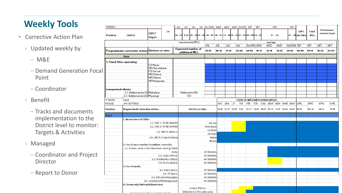## **Weekly Tools**

- Corrective Action Plan
	- › Updated weekly by
		- $-M&E$
		- Demand Generation Foc Point
		- ‒ Coordinator
	- › Benefit
		- ‒ Tracks and documents implementation to the District level to monitor: Targets & Activities
	- › Managed
		- ‒ Coordinator and Project Director
		- ‒ Report to Donor

| PERIOD:         |                                                                                         |                                                    |                             | <b>JUL</b> | <b>JUL</b>                                  | JUL JUL JUL/AGC AGO   AGO   AGO GO/SE SET                                   |                                              |           |                        |     |            |                                           | <b>SET</b> |            | <b>SET</b> |                     | <b>SET</b> |                          |                            |             |                               |
|-----------------|-----------------------------------------------------------------------------------------|----------------------------------------------------|-----------------------------|------------|---------------------------------------------|-----------------------------------------------------------------------------|----------------------------------------------|-----------|------------------------|-----|------------|-------------------------------------------|------------|------------|------------|---------------------|------------|--------------------------|----------------------------|-------------|-------------------------------|
| <b>Province</b> | <b>District</b>                                                                         | <b>COP17</b><br><b>Targets</b>                     | Q <sub>4</sub>              | $02 - 07$  |                                             | 9-14 16 - 2123 - 28 30 - 04 06 - 11 13 - 18 20 - 25 27 - 01 03 - 08 10 - 15 |                                              |           |                        |     |            |                                           |            |            | $17 - 22$  |                     |            | CM's<br>24 - 29 em falta | <b>Total</b><br><b>MCs</b> |             | Performance<br>towards target |
|                 |                                                                                         |                                                    |                             |            |                                             | max (assume 65%)                                                            |                                              |           |                        |     |            |                                           |            |            | average    |                     |            |                          |                            |             |                               |
|                 |                                                                                         |                                                    |                             |            |                                             | ΓJŪĹ                                                                        | IJŒ                                          | JUL       |                        | JUL |            | JULIAGO AGO                               |            | AGO<br>AGO |            | AGO/SE SET          |            | <b>SET</b>               | <b>SET</b>                 | <b>SET</b>  |                               |
|                 | Programmatic corrective action: Districts or sites                                      |                                                    |                             |            | <b>Expected number of</b><br>additional MCs |                                                                             | $01 - 07$                                    | $08 - 14$ | $15 - 21$              |     | 22-28      | $29 - 04$                                 | 05-11      |            | $12 - 18$  | $13 - 25$           | $26 - 01$  | $02 - 08$                | $03 - 15$                  | $16 - 22$   | 23-29                         |
|                 | Gaza                                                                                    |                                                    |                             |            |                                             |                                                                             |                                              |           |                        |     |            |                                           |            |            |            |                     |            |                          |                            |             |                               |
|                 | 1. Fixed Sites operating                                                                |                                                    |                             |            |                                             |                                                                             |                                              |           |                        |     |            |                                           |            |            |            |                     |            |                          |                            |             |                               |
|                 |                                                                                         | CS Macia                                           |                             |            |                                             |                                                                             |                                              |           |                        |     |            |                                           |            |            |            |                     |            |                          |                            |             |                               |
|                 |                                                                                         | <b>HR</b> Chicumbane                               |                             |            |                                             |                                                                             |                                              |           |                        |     |            |                                           |            |            |            |                     |            |                          |                            |             |                               |
| :al             |                                                                                         | CS Xai-xai<br><b>HR Chokwe</b>                     |                             |            |                                             |                                                                             |                                              |           |                        |     |            |                                           |            |            |            |                     |            |                          |                            |             |                               |
|                 |                                                                                         | <b>HR</b> Chibuto                                  |                             |            |                                             |                                                                             |                                              |           |                        |     |            |                                           |            |            |            |                     |            |                          |                            |             |                               |
|                 |                                                                                         | HR Manjadaze                                       |                             |            |                                             |                                                                             |                                              |           |                        |     |            |                                           |            |            |            |                     |            |                          |                            |             |                               |
|                 |                                                                                         |                                                    |                             |            |                                             |                                                                             |                                              |           |                        |     |            |                                           |            |            |            |                     |            |                          |                            |             |                               |
|                 | transported clients                                                                     |                                                    |                             |            |                                             |                                                                             |                                              |           |                        |     |            |                                           |            |            |            |                     |            |                          |                            |             |                               |
|                 | 2.1. Additional site (1): Mabalane                                                      |                                                    |                             |            |                                             | Reflected to MU                                                             |                                              |           |                        |     |            |                                           |            |            |            |                     |            |                          |                            |             |                               |
|                 | 2.2. Additional site (2): Massingir                                                     |                                                    |                             |            |                                             | 660                                                                         |                                              |           |                        |     |            |                                           |            |            |            |                     |            |                          |                            |             |                               |
| <b>IP NAME:</b> | <b>GAZA</b>                                                                             |                                                    |                             |            |                                             |                                                                             |                                              |           |                        |     |            | <b>START OF IMPLEMENTATION (WEEK)</b>     |            |            |            |                     |            |                          |                            |             |                               |
| PERIOD:         | JAN-SEPT2018                                                                            |                                                    |                             |            |                                             |                                                                             |                                              |           | JAN JAN J/F            |     | <b>FEB</b> | <b>FEB</b>                                | <b>FEB</b> |            |            | F/M MAR MAR MAR MAR |            | <b>APRL</b>              | <b>APRL</b>                | <b>APRL</b> | <b>APRL</b>                   |
| <b>Province</b> | <b>Programmatic corrective actions</b>                                                  |                                                    |                             |            | <b>Districts or sites</b>                   |                                                                             |                                              |           | 15-20 22-27 29-03 5-10 |     |            | 12-17 19-24 26-03 05-10 12-17 19-24 26-31 |            |            |            |                     |            | 02-07                    | 09-14                      | $16 - 21$   | 23-28                         |
| Gaza            |                                                                                         |                                                    |                             |            |                                             |                                                                             |                                              |           |                        |     |            |                                           |            |            |            |                     |            |                          |                            |             |                               |
|                 | <b>1. Recruitment of CBOs -</b>                                                         |                                                    |                             |            |                                             |                                                                             |                                              |           |                        |     |            |                                           |            |            |            |                     |            |                          |                            |             |                               |
|                 |                                                                                         | 1.1. CBO 1: TO BE NAMED<br>1.2. CBO 2: TO BE NAMED |                             |            |                                             | Xai-Xai                                                                     |                                              |           |                        |     |            |                                           |            |            |            |                     |            |                          |                            |             |                               |
|                 |                                                                                         |                                                    |                             |            |                                             | Manjacaze                                                                   |                                              |           |                        |     |            |                                           |            |            |            |                     |            |                          |                            |             |                               |
|                 |                                                                                         |                                                    | 1.3. CBO 3: ADACUL          |            |                                             |                                                                             | Chokwe                                       |           |                        |     |            |                                           |            |            |            |                     |            |                          |                            |             |                               |
|                 |                                                                                         |                                                    |                             |            |                                             |                                                                             | Chibuto                                      |           |                        |     |            |                                           |            |            |            |                     |            |                          |                            |             |                               |
|                 |                                                                                         |                                                    | 1.4. CBO 4: Visao Solidaria |            |                                             |                                                                             | Macia                                        |           |                        |     |            |                                           |            |            |            |                     |            |                          |                            |             |                               |
|                 |                                                                                         |                                                    |                             |            |                                             |                                                                             | <b>Bilene</b>                                |           |                        |     |            |                                           |            |            |            |                     |            |                          |                            |             |                               |
|                 | 2. Use of non-coercive incentives: materials                                            |                                                    |                             |            |                                             |                                                                             |                                              |           |                        |     |            |                                           |            |            |            |                     |            |                          |                            |             |                               |
|                 | 2.1. Snacks, Juice, and Underwear (during initial                                       |                                                    |                             |            |                                             |                                                                             |                                              |           |                        |     |            |                                           |            |            |            |                     |            |                          |                            |             |                               |
|                 |                                                                                         |                                                    |                             | visit):    |                                             |                                                                             | <b>All Districts</b><br><b>All Districts</b> |           |                        |     |            |                                           |            |            |            |                     |            |                          |                            |             |                               |
|                 | 2.2. Soap (48hrs):<br>2.3. Notebooks (7days):<br>2.4. Shirts (6wks):<br>3. Use of media |                                                    |                             |            |                                             | <b>All Districts</b>                                                        |                                              |           |                        |     |            |                                           |            |            |            |                     |            |                          |                            |             |                               |
|                 |                                                                                         |                                                    |                             |            |                                             | <b>All Districts</b>                                                        |                                              |           |                        |     |            |                                           |            |            |            |                     |            |                          |                            |             |                               |
|                 |                                                                                         |                                                    |                             |            |                                             |                                                                             |                                              |           |                        |     |            |                                           |            |            |            |                     |            |                          |                            |             |                               |
|                 |                                                                                         |                                                    | 3.1. Radio Spots:           |            |                                             |                                                                             | <b>All Districts</b>                         |           |                        |     |            |                                           |            |            |            |                     |            |                          |                            |             |                               |
|                 |                                                                                         |                                                    | 3.2. TV Spots:              |            |                                             |                                                                             | <b>All Districts</b>                         |           |                        |     |            |                                           |            |            |            |                     |            |                          |                            |             |                               |
|                 |                                                                                         |                                                    | 3.3. SMS automessages:      |            |                                             |                                                                             | <b>All Districts</b>                         |           |                        |     |            |                                           |            |            |            |                     |            |                          |                            |             |                               |
|                 |                                                                                         | 3.4. Facebook/WhatsApp post:                       |                             |            |                                             |                                                                             | <b>All Districts</b>                         |           |                        |     |            |                                           |            |            |            |                     |            |                          |                            |             |                               |
|                 | 4. Community Outreach/Awareness                                                         |                                                    |                             |            |                                             |                                                                             |                                              |           |                        |     |            |                                           |            |            |            |                     |            |                          |                            |             |                               |
|                 |                                                                                         |                                                    |                             |            |                                             | Incaia (Bilene)                                                             |                                              |           |                        |     |            |                                           |            |            |            |                     |            |                          |                            |             |                               |
|                 |                                                                                         |                                                    |                             |            |                                             | Mahatlane / Chicualacuala)                                                  |                                              |           |                        |     |            |                                           |            |            |            |                     |            |                          |                            |             |                               |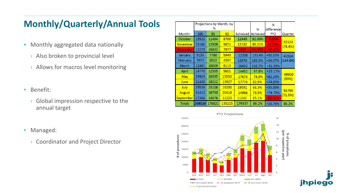## **Monthly/Quarterly/Annual Tools**

- Monthly aggregated data nationally
	- › Also broken to provincial level
	- › Allows for macros level monitoring
- Benefit:
	- › Global impression respective to the annual target
- Managed:
	- › Coordinator and Project Director

|                 |           |        | Projections by Month, by |          |                 | $\frac{9}{6}$   |                  |
|-----------------|-----------|--------|--------------------------|----------|-----------------|-----------------|------------------|
|                 |           | %      |                          |          | %               | difference      |                  |
| Month+          | 100<br>85 |        | 65                       | Achieved | <b>Achieved</b> | PY <sub>2</sub> | Quarter          |
| October         | 13522     | 11494  | 8789                     | 12445    | 92.00%          | $-1.00%$        |                  |
| <b>November</b> | 15186     | 12908  | 9871                     | 12182    | 80.21%          | $-7.70%$        | 32124<br>(78.4%) |
| <b>December</b> | 12273     | 10432  | 7977                     | 7497     | 61.09%          | $-20.82%$       |                  |
| January         | 9153      | 7780   | 5949                     | 12208    | 133.4%          | +50.53%         | 41514            |
| February        | 7073      | 6012   | 4597                     | 12874    | 182.0%          | $+26.07%$       | (144.6%)         |
| March           | 12481     | 10609  | 8113                     | 16432    | 132.7%          | $+32.29%$       |                  |
| April           | 14770     | 12555  | 9601                     | 14452    | 97.8%           | $+25.17%$       |                  |
| <b>May</b>      | 23923     | 20335  | 15550                    | 17674    | 74.0%           | $+62.23%$       | 49900<br>(83%)   |
| June            | 21426     | 18212  | 13927                    | 17774    | 82.8%           | +74.00%         |                  |
| July            | 29539     | 25108  | 19200                    | 19591    | 66.3%           | +35.88%         |                  |
| August          | 31412     | 26700  | 20418                    | 24966    | 79.5%           | $+76.75%$       | 55799<br>(71.3%) |
| September       | 17266     | 14676  | 11223                    | 11242    | 65.1%           | $-20.41%$       |                  |
| <b>Totals</b>   | 208024    | 176821 | 135215                   | 179337   | 86.2%           | $+26.76%$       | 86.2%            |



**ihpiec**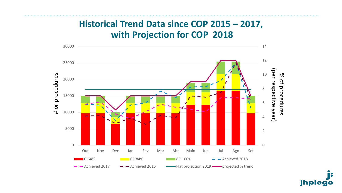#### **Historical Trend Data since COP 2015 – 2017, with Projection for COP 2018**



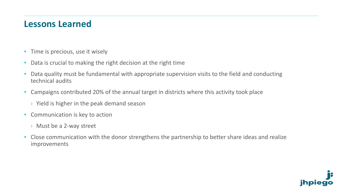#### **Lessons Learned**

- Time is precious, use it wisely
- Data is crucial to making the right decision at the right time
- Data quality must be fundamental with appropriate supervision visits to the field and conducting technical audits
- Campaigns contributed 20% of the annual target in districts where this activity took place
	- › Yield is higher in the peak demand season
- Communication is key to action
	- › Must be a 2-way street
- Close communication with the donor strengthens the partnership to better share ideas and realize improvements